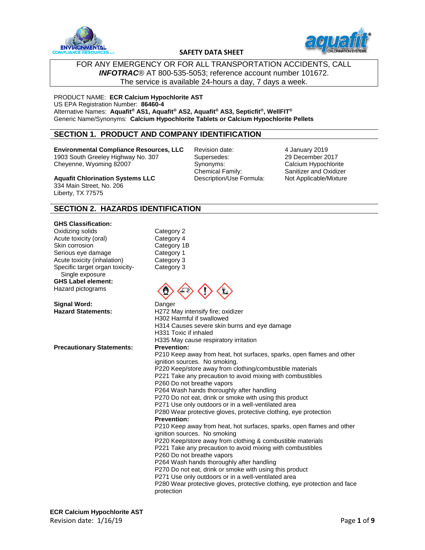



## FOR ANY EMERGENCY OR FOR ALL TRANSPORTATION ACCIDENTS, CALL *INFOTRAC*® AT 800-535-5053; reference account number 101672. The service is available 24-hours a day, 7 days a week.

PRODUCT NAME: **ECR Calcium Hypochlorite AST** US EPA Registration Number: **86460-4** Alternative Names: **Aquafit® AS1, Aquafit® AS2, Aquafit® AS3, Septicfit®, WellFIT®** Generic Name/Synonyms: **Calcium Hypochlorite Tablets or Calcium Hypochlorite Pellets**

# **SECTION 1. PRODUCT AND COMPANY IDENTIFICATION**

**Environmental Compliance Resources, LLC** 1903 South Greeley Highway No. 307 Cheyenne, Wyoming 82007

Revision date: Supersedes: Synonyms: Chemical Family: Description/Use Formula: 4 January 2019 29 December 2017 Calcium Hypochlorite Sanitizer and Oxidizer Not Applicable/Mixture

**Aquafit Chlorination Systems LLC** 334 Main Street, No. 206 Liberty, TX 77575

## **SECTION 2. HAZARDS IDENTIFICATION**

#### **GHS Classification:**

Oxidizing solids Acute toxicity (oral) Skin corrosion Serious eye damage Acute toxicity (inhalation) Specific target organ toxicity- Single exposure **GHS Label element:** Hazard pictograms

**Signal Word:** Danger

**Precautionary Statements:** 

Category 2 Category 4 Category 1B Category 1 Category 3 Category 3



**Hazard Statements:** H272 May intensify fire; oxidizer H302 Harmful if swallowed H314 Causes severe skin burns and eye damage H331 Toxic if inhaled H335 May cause respiratory irritation<br>Prevention: P210 Keep away from heat, hot surfaces, sparks, open flames and other ignition sources. No smoking. P220 Keep/store away from clothing/combustible materials P221 Take any precaution to avoid mixing with combustibles P260 Do not breathe vapors P264 Wash hands thoroughly after handling P270 Do not eat, drink or smoke with using this product P271 Use only outdoors or in a well-ventilated area P280 Wear protective gloves, protective clothing, eye protection **Prevention:** P210 Keep away from heat, hot surfaces, sparks, open flames and other ignition sources. No smoking P220 Keep/store away from clothing & combustible materials P221 Take any precaution to avoid mixing with combustibles P260 Do not breathe vapors P264 Wash hands thoroughly after handling P270 Do not eat, drink or smoke with using this product P271 Use only outdoors or in a well-ventilated area P280 Wear protective gloves, protective clothing, eye protection and face protection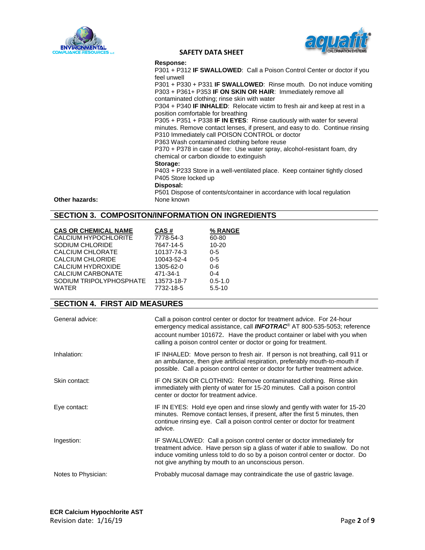



#### **Response:**

P301 + P312 **IF SWALLOWED**: Call a Poison Control Center or doctor if you feel unwell

P301 + P330 + P331 **IF SWALLOWED**: Rinse mouth. Do not induce vomiting P303 + P361+ P353 **IF ON SKIN OR HAIR**: Immediately remove all contaminated clothing; rinse skin with water

P304 + P340 **IF INHALED**: Relocate victim to fresh air and keep at rest in a position comfortable for breathing

P305 + P351 + P338 **IF IN EYES**: Rinse cautiously with water for several minutes. Remove contact lenses, if present, and easy to do. Continue rinsing P310 Immediately call POISON CONTROL or doctor

P363 Wash contaminated clothing before reuse

P370 + P378 in case of fire: Use water spray, alcohol-resistant foam, dry chemical or carbon dioxide to extinguish

#### **Storage:**

P403 + P233 Store in a well-ventilated place. Keep container tightly closed P405 Store locked up

**Disposal:**

P501 Dispose of contents/container in accordance with local regulation

### **Other hazards:** None known

# **SECTION 3. COMPOSITON/INFORMATION ON INGREDIENTS**

| <b>CAS OR CHEMICAL NAME</b><br>CALCIUM HYPOCHLORITE<br>SODIUM CHLORIDE<br><b>CALCIUM CHLORATE</b><br><b>CALCIUM CHLORIDE</b><br>CALCIUM HYDROXIDE<br><b>CALCIUM CARBONATE</b><br>SODIUM TRIPOLYPHOSPHATE<br><b>WATER</b> | CAS#<br>7778-54-3<br>7647-14-5<br>10137-74-3<br>10043-52-4<br>1305-62-0<br>471-34-1<br>13573-18-7<br>7732-18-5                                                                                                                                     | % RANGE<br>60-80<br>$10 - 20$<br>$0 - 5$<br>$0 - 5$<br>$0-6$<br>$0 - 4$<br>$0.5 - 1.0$<br>$5.5 - 10$                                                                                                                                                                                                        |
|--------------------------------------------------------------------------------------------------------------------------------------------------------------------------------------------------------------------------|----------------------------------------------------------------------------------------------------------------------------------------------------------------------------------------------------------------------------------------------------|-------------------------------------------------------------------------------------------------------------------------------------------------------------------------------------------------------------------------------------------------------------------------------------------------------------|
| <b>SECTION 4. FIRST AID MEASURES</b>                                                                                                                                                                                     |                                                                                                                                                                                                                                                    |                                                                                                                                                                                                                                                                                                             |
| General advice:                                                                                                                                                                                                          |                                                                                                                                                                                                                                                    | Call a poison control center or doctor for treatment advice. For 24-hour<br>emergency medical assistance, call <b>INFOTRAC®</b> AT 800-535-5053; reference<br>account number 101672. Have the product container or label with you when<br>calling a poison control center or doctor or going for treatment. |
| Inhalation:                                                                                                                                                                                                              | IF INHALED: Move person to fresh air. If person is not breathing, call 911 or<br>an ambulance, then give artificial respiration, preferably mouth-to-mouth if<br>possible. Call a poison control center or doctor for further treatment advice.    |                                                                                                                                                                                                                                                                                                             |
| Skin contact:                                                                                                                                                                                                            | IF ON SKIN OR CLOTHING: Remove contaminated clothing. Rinse skin<br>immediately with plenty of water for 15-20 minutes. Call a poison control<br>center or doctor for treatment advice.                                                            |                                                                                                                                                                                                                                                                                                             |
| Eye contact:                                                                                                                                                                                                             | IF IN EYES: Hold eye open and rinse slowly and gently with water for 15-20<br>minutes. Remove contact lenses, if present, after the first 5 minutes, then<br>continue rinsing eye. Call a poison control center or doctor for treatment<br>advice. |                                                                                                                                                                                                                                                                                                             |
| Ingestion:                                                                                                                                                                                                               |                                                                                                                                                                                                                                                    | IF SWALLOWED: Call a poison control center or doctor immediately for<br>treatment advice. Have person sip a glass of water if able to swallow. Do not<br>induce vomiting unless told to do so by a poison control center or doctor. Do<br>not give anything by mouth to an unconscious person.              |
| Notes to Physician:                                                                                                                                                                                                      |                                                                                                                                                                                                                                                    | Probably mucosal damage may contraindicate the use of gastric lavage.                                                                                                                                                                                                                                       |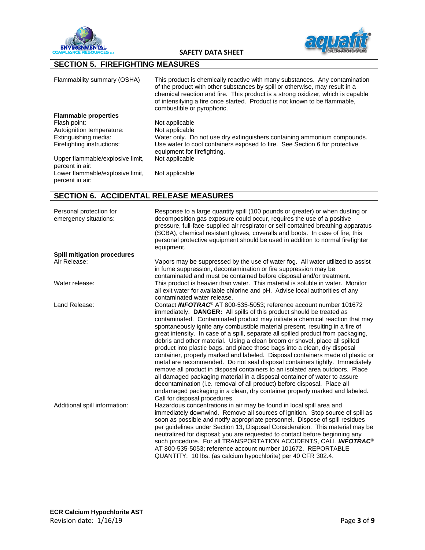



# **SECTION 5. FIREFIGHTING MEASURES**

| Flammability summary (OSHA)                         | This product is chemically reactive with many substances. Any contamination<br>of the product with other substances by spill or otherwise, may result in a<br>chemical reaction and fire. This product is a strong oxidizer, which is capable<br>of intensifying a fire once started. Product is not known to be flammable,<br>combustible or pyrophoric. |
|-----------------------------------------------------|-----------------------------------------------------------------------------------------------------------------------------------------------------------------------------------------------------------------------------------------------------------------------------------------------------------------------------------------------------------|
| <b>Flammable properties</b>                         |                                                                                                                                                                                                                                                                                                                                                           |
| Flash point:                                        | Not applicable                                                                                                                                                                                                                                                                                                                                            |
| Autoignition temperature:                           | Not applicable                                                                                                                                                                                                                                                                                                                                            |
| Extinguishing media:                                | Water only. Do not use dry extinguishers containing ammonium compounds.                                                                                                                                                                                                                                                                                   |
| Firefighting instructions:                          | Use water to cool containers exposed to fire. See Section 6 for protective<br>equipment for firefighting.                                                                                                                                                                                                                                                 |
| Upper flammable/explosive limit,<br>percent in air: | Not applicable                                                                                                                                                                                                                                                                                                                                            |
| Lower flammable/explosive limit,<br>percent in air: | Not applicable                                                                                                                                                                                                                                                                                                                                            |

# **SECTION 6. ACCIDENTAL RELEASE MEASURES**

| Personal protection for<br>emergency situations: | Response to a large quantity spill (100 pounds or greater) or when dusting or<br>decomposition gas exposure could occur, requires the use of a positive<br>pressure, full-face-supplied air respirator or self-contained breathing apparatus<br>(SCBA), chemical resistant gloves, coveralls and boots. In case of fire, this<br>personal protective equipment should be used in addition to normal firefighter<br>equipment.                                                                                                                                                                                                                                                                                                                    |
|--------------------------------------------------|--------------------------------------------------------------------------------------------------------------------------------------------------------------------------------------------------------------------------------------------------------------------------------------------------------------------------------------------------------------------------------------------------------------------------------------------------------------------------------------------------------------------------------------------------------------------------------------------------------------------------------------------------------------------------------------------------------------------------------------------------|
| <b>Spill mitigation procedures</b>               |                                                                                                                                                                                                                                                                                                                                                                                                                                                                                                                                                                                                                                                                                                                                                  |
| Air Release:                                     | Vapors may be suppressed by the use of water fog. All water utilized to assist<br>in fume suppression, decontamination or fire suppression may be<br>contaminated and must be contained before disposal and/or treatment.                                                                                                                                                                                                                                                                                                                                                                                                                                                                                                                        |
| Water release:                                   | This product is heavier than water. This material is soluble in water. Monitor<br>all exit water for available chlorine and pH. Advise local authorities of any<br>contaminated water release.                                                                                                                                                                                                                                                                                                                                                                                                                                                                                                                                                   |
| Land Release:                                    | Contact <b>INFOTRAC<sup>®</sup></b> AT 800-535-5053; reference account number 101672<br>immediately. DANGER: All spills of this product should be treated as<br>contaminated. Contaminated product may initiate a chemical reaction that may<br>spontaneously ignite any combustible material present, resulting in a fire of<br>great intensity. In case of a spill, separate all spilled product from packaging,<br>debris and other material. Using a clean broom or shovel, place all spilled<br>product into plastic bags, and place those bags into a clean, dry disposal<br>container, properly marked and labeled. Disposal containers made of plastic or<br>metal are recommended. Do not seal disposal containers tightly. Immediately |
|                                                  | remove all product in disposal containers to an isolated area outdoors. Place<br>all damaged packaging material in a disposal container of water to assure<br>decontamination (i.e. removal of all product) before disposal. Place all<br>undamaged packaging in a clean, dry container properly marked and labeled.<br>Call for disposal procedures.                                                                                                                                                                                                                                                                                                                                                                                            |
| Additional spill information:                    | Hazardous concentrations in air may be found in local spill area and<br>immediately downwind. Remove all sources of ignition. Stop source of spill as<br>soon as possible and notify appropriate personnel. Dispose of spill residues<br>per guidelines under Section 13, Disposal Consideration. This material may be<br>neutralized for disposal; you are requested to contact before beginning any<br>such procedure. For all TRANSPORTATION ACCIDENTS, CALL INFOTRAC <sup>®</sup><br>AT 800-535-5053; reference account number 101672. REPORTABLE<br>QUANTITY: 10 lbs. (as calcium hypochlorite) per 40 CFR 302.4.                                                                                                                           |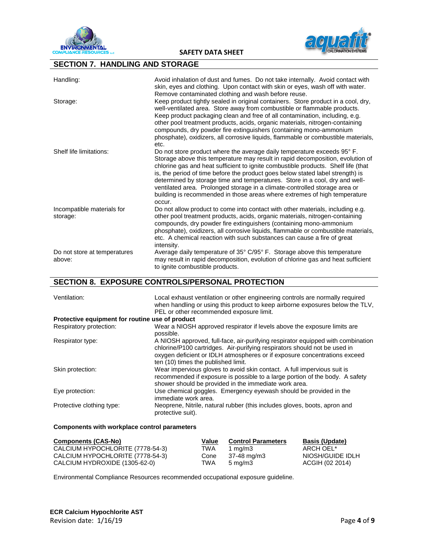



# **SECTION 7. HANDLING AND STORAGE**

| Handling:                              | Avoid inhalation of dust and fumes. Do not take internally. Avoid contact with<br>skin, eyes and clothing. Upon contact with skin or eyes, wash off with water.<br>Remove contaminated clothing and wash before reuse.                                                                                                                                                                                                                                                                                                                                                               |
|----------------------------------------|--------------------------------------------------------------------------------------------------------------------------------------------------------------------------------------------------------------------------------------------------------------------------------------------------------------------------------------------------------------------------------------------------------------------------------------------------------------------------------------------------------------------------------------------------------------------------------------|
| Storage:                               | Keep product tightly sealed in original containers. Store product in a cool, dry,<br>well-ventilated area. Store away from combustible or flammable products.<br>Keep product packaging clean and free of all contamination, including, e.g.<br>other pool treatment products, acids, organic materials, nitrogen-containing<br>compounds, dry powder fire extinguishers (containing mono-ammonium<br>phosphate), oxidizers, all corrosive liquids, flammable or combustible materials,<br>etc.                                                                                      |
| Shelf life limitations:                | Do not store product where the average daily temperature exceeds 95° F.<br>Storage above this temperature may result in rapid decomposition, evolution of<br>chlorine gas and heat sufficient to ignite combustible products. Shelf life (that<br>is, the period of time before the product goes below stated label strength) is<br>determined by storage time and temperatures. Store in a cool, dry and well-<br>ventilated area. Prolonged storage in a climate-controlled storage area or<br>building is recommended in those areas where extremes of high temperature<br>occur. |
| Incompatible materials for<br>storage: | Do not allow product to come into contact with other materials, including e.g.<br>other pool treatment products, acids, organic materials, nitrogen-containing<br>compounds, dry powder fire extinguishers (containing mono-ammonium<br>phosphate), oxidizers, all corrosive liquids, flammable or combustible materials,<br>etc. A chemical reaction with such substances can cause a fire of great<br>intensity.                                                                                                                                                                   |
| Do not store at temperatures<br>above: | Average daily temperature of 35° C/95° F. Storage above this temperature<br>may result in rapid decomposition, evolution of chlorine gas and heat sufficient<br>to ignite combustible products.                                                                                                                                                                                                                                                                                                                                                                                      |

# **SECTION 8. EXPOSURE CONTROLS/PERSONAL PROTECTION**

| Ventilation:                                    | Local exhaust ventilation or other engineering controls are normally required<br>when handling or using this product to keep airborne exposures below the TLV,<br>PEL or other recommended exposure limit.                                                                       |
|-------------------------------------------------|----------------------------------------------------------------------------------------------------------------------------------------------------------------------------------------------------------------------------------------------------------------------------------|
| Protective equipment for routine use of product |                                                                                                                                                                                                                                                                                  |
| Respiratory protection:                         | Wear a NIOSH approved respirator if levels above the exposure limits are<br>possible.                                                                                                                                                                                            |
| Respirator type:                                | A NIOSH approved, full-face, air-purifying respirator equipped with combination<br>chlorine/P100 cartridges. Air-purifying respirators should not be used in<br>oxygen deficient or IDLH atmospheres or if exposure concentrations exceed<br>ten (10) times the published limit. |
| Skin protection:                                | Wear impervious gloves to avoid skin contact. A full impervious suit is<br>recommended if exposure is possible to a large portion of the body. A safety<br>shower should be provided in the immediate work area.                                                                 |
| Eye protection:                                 | Use chemical goggles. Emergency eyewash should be provided in the<br>immediate work area.                                                                                                                                                                                        |
| Protective clothing type:                       | Neoprene, Nitrile, natural rubber (this includes gloves, boots, apron and<br>protective suit).                                                                                                                                                                                   |

#### **Components with workplace control parameters**

| <b>Components (CAS-No)</b>       | Value | <b>Control Parameters</b> | <b>Basis (Update)</b> |
|----------------------------------|-------|---------------------------|-----------------------|
| CALCIUM HYPOCHLORITE (7778-54-3) | TWA   | 1 ma/m $3$                | ARCH OEL*             |
| CALCIUM HYPOCHLORITE (7778-54-3) | Cone  | 37-48 mg/m3               | NIOSH/GUIDE IDLH      |
| CALCIUM HYDROXIDE (1305-62-0)    | TWA   | $5 \text{ ma/m}$ 3        | ACGIH (02 2014)       |

Environmental Compliance Resources recommended occupational exposure guideline.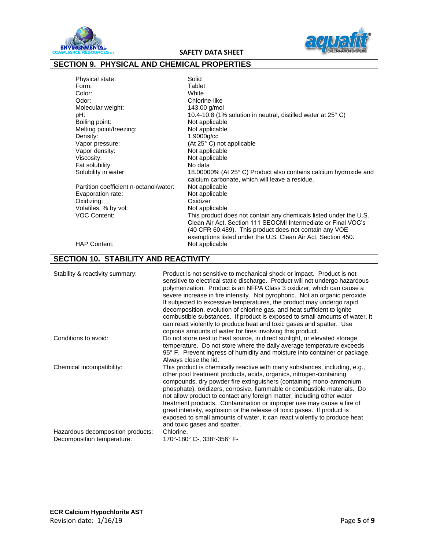



# **SECTION 9. PHYSICAL AND CHEMICAL PROPERTIES**

| Physical state:                        | Solid                                                                  |
|----------------------------------------|------------------------------------------------------------------------|
| Form:                                  | Tablet                                                                 |
| Color:                                 | White                                                                  |
| Odor:                                  | Chlorine-like                                                          |
| Molecular weight:                      | 143.00 g/mol                                                           |
| pH:                                    | 10.4-10.8 (1% solution in neutral, distilled water at 25 $^{\circ}$ C) |
| Boiling point:                         | Not applicable                                                         |
| Melting point/freezing:                | Not applicable                                                         |
| Density:                               | 1.9000g/cc                                                             |
| Vapor pressure:                        | (At 25° C) not applicable                                              |
| Vapor density:                         | Not applicable                                                         |
| Viscosity:                             | Not applicable                                                         |
| Fat solubility:                        | No data                                                                |
| Solubility in water:                   | 18.00000% (At 25° C) Product also contains calcium hydroxide and       |
|                                        | calcium carbonate, which will leave a residue.                         |
| Partition coefficient n-octanol/water: | Not applicable                                                         |
| Evaporation rate:                      | Not applicable                                                         |
| Oxidizing:                             | Oxidizer                                                               |
| Volatiles, % by vol:                   | Not applicable                                                         |
| <b>VOC Content:</b>                    | This product does not contain any chemicals listed under the U.S.      |
|                                        | Clean Air Act, Section 111 SEOCMI Intermediate or Final VOC's          |
|                                        | (40 CFR 60.489). This product does not contain any VOE                 |
|                                        | exemptions listed under the U.S. Clean Air Act, Section 450.           |
| <b>HAP Content:</b>                    | Not applicable                                                         |

# **SECTION 10. STABILITY AND REACTIVITY**

| Stability & reactivity summary:                                 | Product is not sensitive to mechanical shock or impact. Product is not<br>sensitive to electrical static discharge. Product will not undergo hazardous<br>polymerization. Product is an NFPA Class 3 oxidizer, which can cause a<br>severe increase in fire intensity. Not pyrophoric. Not an organic peroxide.<br>If subjected to excessive temperatures, the product may undergo rapid<br>decomposition, evolution of chlorine gas, and heat sufficient to ignite<br>combustible substances. If product is exposed to small amounts of water, it<br>can react violently to produce heat and toxic gases and spatter. Use<br>copious amounts of water for fires involving this product. |
|-----------------------------------------------------------------|------------------------------------------------------------------------------------------------------------------------------------------------------------------------------------------------------------------------------------------------------------------------------------------------------------------------------------------------------------------------------------------------------------------------------------------------------------------------------------------------------------------------------------------------------------------------------------------------------------------------------------------------------------------------------------------|
| Conditions to avoid:                                            | Do not store next to heat source, in direct sunlight, or elevated storage<br>temperature. Do not store where the daily average temperature exceeds<br>95° F. Prevent ingress of humidity and moisture into container or package.<br>Always close the lid.                                                                                                                                                                                                                                                                                                                                                                                                                                |
| Chemical incompatibility:                                       | This product is chemically reactive with many substances, including, e.g.,<br>other pool treatment products, acids, organics, nitrogen-containing<br>compounds, dry powder fire extinguishers (containing mono-ammonium<br>phosphate), oxidizers, corrosive, flammable or combustible materials. Do<br>not allow product to contact any foreign matter, including other water<br>treatment products. Contamination or improper use may cause a fire of<br>great intensity, explosion or the release of toxic gases. If product is<br>exposed to small amounts of water, it can react violently to produce heat<br>and toxic gases and spatter.                                           |
| Hazardous decomposition products:<br>Decomposition temperature: | Chlorine.<br>170°-180° C-, 338°-356° F-                                                                                                                                                                                                                                                                                                                                                                                                                                                                                                                                                                                                                                                  |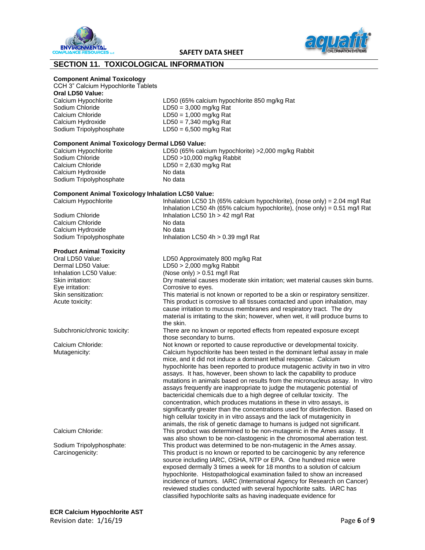



# **SECTION 11. TOXICOLOGICAL INFORMATION**

#### **Component Animal Toxicology**

CCH 3" Calcium Hypochlorite Tablets

#### **Oral LD50 Value:**

Sodium Chloride LD50 = 3,000 mg/kg Rat Calcium Chloride LD50 = 1,000 mg/kg Rat<br>Calcium Hydroxide LD50 = 7.340 mg/kg Rat

Calcium Hypochlorite LD50 (65% calcium hypochlorite 850 mg/kg Rat  $LD50 = 7,340$  mg/kg Rat Sodium Tripolyphosphate LD50 = 6,500 mg/kg Rat

#### **Component Animal Toxicology Dermal LD50 Value:**

Sodium Chloride LD50 >10,000 mg/kg Rabbit Calcium Chloride LD50 = 2,630 mg/kg Rat Calcium Hydroxide No data Sodium Tripolyphosphate No data

Calcium Hypochlorite LD50 (65% calcium hypochlorite) >2,000 mg/kg Rabbit

#### **Component Animal Toxicology Inhalation LC50 Value:** Calcium Hypochlorite Inhalation LC50 1h (65% calcium hypochlorite), (nose only) = 2.04 mg/l Rat

Sodium Chloride Inhalation LC50 1h > 42 mg/l Rat Calcium Chloride No data Calcium Hydroxide No data Sodium Tripolyphosphate Inhalation LC50 4h > 0.39 mg/l Rat

#### **Product Animal Toxicity**

Eye irritation: Corrosive to eyes.

**ECR Calcium Hypochlorite AST** Revision date: 1/16/19 **Page 6** of **9** 

Oral LD50 Value: LD50 Approximately 800 mg/kg Rat Dermal LD50 Value: LD50 > 2,000 mg/kg Rabbit Inhalation LC50 Value: (Nose only) > 0.51 mg/l Rat Skin irritation: Dry material causes moderate skin irritation; wet material causes skin burns. Skin sensitization: This material is not known or reported to be a skin or respiratory sensitizer. Acute toxicity: This product is corrosive to all tissues contacted and upon inhalation, may cause irritation to mucous membranes and respiratory tract. The dry material is irritating to the skin; however, when wet, it will produce burns to the skin. Subchronic/chronic toxicity: There are no known or reported effects from repeated exposure except those secondary to burns. Calcium Chloride: Not known or reported to cause reproductive or developmental toxicity. Mutagenicity: Calcium hypochlorite has been tested in the dominant lethal assay in male mice, and it did not induce a dominant lethal response. Calcium hypochlorite has been reported to produce mutagenic activity in two in vitro assays. It has, however, been shown to lack the capability to produce mutations in animals based on results from the micronucleus assay. In vitro assays frequently are inappropriate to judge the mutagenic potential of bactericidal chemicals due to a high degree of cellular toxicity. The concentration, which produces mutations in these in vitro assays, is significantly greater than the concentrations used for disinfection. Based on high cellular toxicity in in vitro assays and the lack of mutagenicity in animals, the risk of genetic damage to humans is judged not significant. Calcium Chloride: This product was determined to be non-mutagenic in the Ames assay. It was also shown to be non-clastogenic in the chromosomal aberration test. Sodium Tripolyphosphate: This product was determined to be non-mutagenic in the Ames assay. Carcinogenicity: This product is no known or reported to be carcinogenic by any reference source including IARC, OSHA, NTP or EPA. One hundred mice were exposed dermally 3 times a week for 18 months to a solution of calcium hypochlorite. Histopathological examination failed to show an increased incidence of tumors. IARC (International Agency for Research on Cancer) reviewed studies conducted with several hypochlorite salts. IARC has classified hypochlorite salts as having inadequate evidence for

Inhalation LC50 4h (65% calcium hypochlorite), (nose only) = 0.51 mg/l Rat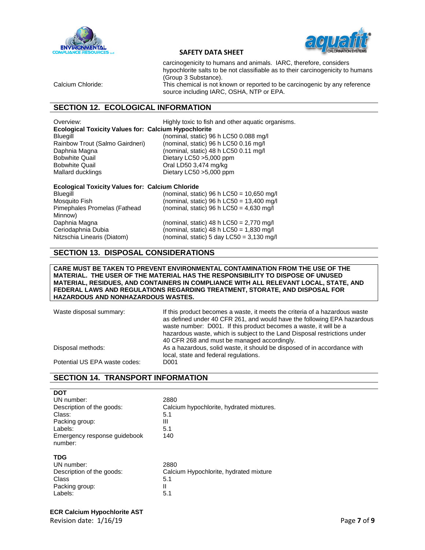



| carcinogenicity to humans and animals. IARC, therefore, considers               |
|---------------------------------------------------------------------------------|
| hypochlorite salts to be not classifiable as to their carcinogenicity to humans |
| (Group 3 Substance).                                                            |
| This chamical is not known or reported to be carcinograpic by any reference     |

Calcium Chloride: This chemical is not known or reported to be carcinogenic by any reference source including IARC, OSHA, NTP or EPA.

# **SECTION 12. ECOLOGICAL INFORMATION**

Overview: Highly toxic to fish and other aquatic organisms. **Ecological Toxicity Values for: Calcium Hypochlorite** Bobwhite Quail Dietary LC50 >5,000 ppm Bobwhite Quail **DED** Cral LD50 3,474 mg/kg Mallard ducklings Dietary LC50 > 5,000 ppm

Bluegill (nominal, static) 96 h LC50 0.088 mg/l Rainbow Trout (Salmo Gairdneri) (nominal, static) 96 h LC50 0.16 mg/l Daphnia Magna (nominal, static) 48 h LC50 0.11 mg/l

#### **Ecological Toxicity Values for: Calcium Chloride**

| Bluegill                     |
|------------------------------|
| Mosquito Fish                |
| Pimephales Promelas (Fathead |
| Minnow)                      |
| Daphnia Magna                |
| Ceriodaphnia Dubia           |
| Nitzschia Linearis (Diatom)  |

(nominal, static) 96 h LC50 = 10,650 mg/l (nominal, static) 96 h LC50 =  $13,400$  mg/l (nominal, static) 96 h LC50 =  $4,630$  mg/l (nominal, static) 48 h LC50 =  $2,770$  mg/l (nominal, static) 48 h LC50 =  $1,830$  mg/l

 $(nominal, static)$  5 day LC50 = 3,130 mg/l

# **SECTION 13. DISPOSAL CONSIDERATIONS**

**CARE MUST BE TAKEN TO PREVENT ENVIRONMENTAL CONTAMINATION FROM THE USE OF THE MATERIAL. THE USER OF THE MATERIAL HAS THE RESPONSIBILITY TO DISPOSE OF UNUSED MATERIAL, RESIDUES, AND CONTAINERS IN COMPLIANCE WITH ALL RELEVANT LOCAL, STATE, AND FEDERAL LAWS AND REGULATIONS REGARDING TREATMENT, STORATE, AND DISPOSAL FOR HAZARDOUS AND NONHAZARDOUS WASTES.**

Waste disposal summary: If this product becomes a waste, it meets the criteria of a hazardous waste as defined under 40 CFR 261, and would have the following EPA hazardous waste number: D001. If this product becomes a waste, it will be a hazardous waste, which is subject to the Land Disposal restrictions under 40 CFR 268 and must be managed accordingly. Disposal methods: As a hazardous, solid waste, it should be disposed of in accordance with local, state and federal regulations. Potential US EPA waste codes: D001

# **SECTION 14. TRANSPORT INFORMATION**

| <b>DOT</b>                                                                                       | 2880                                           |
|--------------------------------------------------------------------------------------------------|------------------------------------------------|
| UN number:                                                                                       | Calcium hypochlorite, hydrated mixtures.       |
| Description of the goods:                                                                        | 5.1                                            |
| Class:                                                                                           | Ш                                              |
| Packing group:                                                                                   | 5.1                                            |
| Labels:                                                                                          | 140                                            |
| Emergency response guidebook<br>number:<br><b>TDG</b><br>UN number:<br>Description of the goods: | 2880<br>Calcium Hypochlorite, hydrated mixture |
| Class                                                                                            | 5.1                                            |
| Packing group:                                                                                   | Ш                                              |
| Labels:                                                                                          | 5.1                                            |

Revision date: 1/16/19 **Page 7** of **9**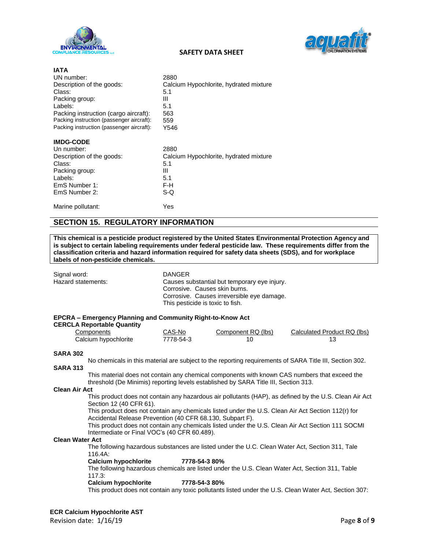

**IATA**



### **SAFETY DATA SHEET**

| UN number:                                | 2880                                   |
|-------------------------------------------|----------------------------------------|
| Description of the goods:                 | Calcium Hypochlorite, hydrated mixture |
| Class:                                    | 5.1                                    |
| Packing group:                            | Ш                                      |
| Labels:                                   | 5.1                                    |
| Packing instruction (cargo aircraft):     | 563                                    |
| Packing instruction (passenger aircraft): | 559                                    |
| Packing instruction (passenger aircraft): | Y546                                   |
| <b>IMDG-CODE</b>                          |                                        |
| Un number:                                | 2880                                   |
| Description of the goods:                 | Calcium Hypochlorite, hydrated mixture |
| Class:                                    | 5.1                                    |
| Packing group:                            | Ш                                      |
| Labels:                                   | 5.1                                    |
| EmS Number 1:                             | F-H                                    |
| EmS Number 2:                             | S-Q                                    |
| Marine pollutant:                         | Yes                                    |
|                                           |                                        |

## **SECTION 15. REGULATORY INFORMATION**

**This chemical is a pesticide product registered by the United States Environmental Protection Agency and is subject to certain labeling requirements under federal pesticide law. These requirements differ from the classification criteria and hazard information required for safety data sheets (SDS), and for workplace labels of non-pesticide chemicals.**

| Signal word:       | <b>DANGER</b>                                              |
|--------------------|------------------------------------------------------------|
| Hazard statements: | Causes substantial but temporary eye injury.               |
|                    | Corrosive. Causes skin burns.                              |
|                    | Corrosive. Causes irreversible eye damage.                 |
|                    | This pesticide is toxic to fish.                           |
|                    |                                                            |
|                    | EPCRA – Emergency Planning and Community Right-to-Know Act |

#### **CERCLA Reportable Quantity**

| $22 - 1100$ $00 - 10000$ |           |                    |                             |
|--------------------------|-----------|--------------------|-----------------------------|
| Components               | CAS-No    | Component RQ (lbs) | Calculated Product RQ (lbs) |
| Calcium hypochlorite     | 7778-54-3 |                    |                             |

#### **SARA 302**

No chemicals in this material are subject to the reporting requirements of SARA Title III, Section 302. **SARA 313**

This material does not contain any chemical components with known CAS numbers that exceed the threshold (De Minimis) reporting levels established by SARA Title III, Section 313.

#### **Clean Air Act**

This product does not contain any hazardous air pollutants (HAP), as defined by the U.S. Clean Air Act Section 12 (40 CFR 61).

This product does not contain any chemicals listed under the U.S. Clean Air Act Section 112(r) for Accidental Release Prevention (40 CFR 68.130, Subpart F).

This product does not contain any chemicals listed under the U.S. Clean Air Act Section 111 SOCMI Intermediate or Final VOC's (40 CFR 60.489).

#### **Clean Water Act**

The following hazardous substances are listed under the U.C. Clean Water Act, Section 311, Tale 116.4A:

#### **Calcium hypochlorite 7778-54-3 80%**

The following hazardous chemicals are listed under the U.S. Clean Water Act, Section 311, Table 117.3:

#### **Calcium hypochlorite 7778-54-3 80%**

This product does not contain any toxic pollutants listed under the U.S. Clean Water Act, Section 307: